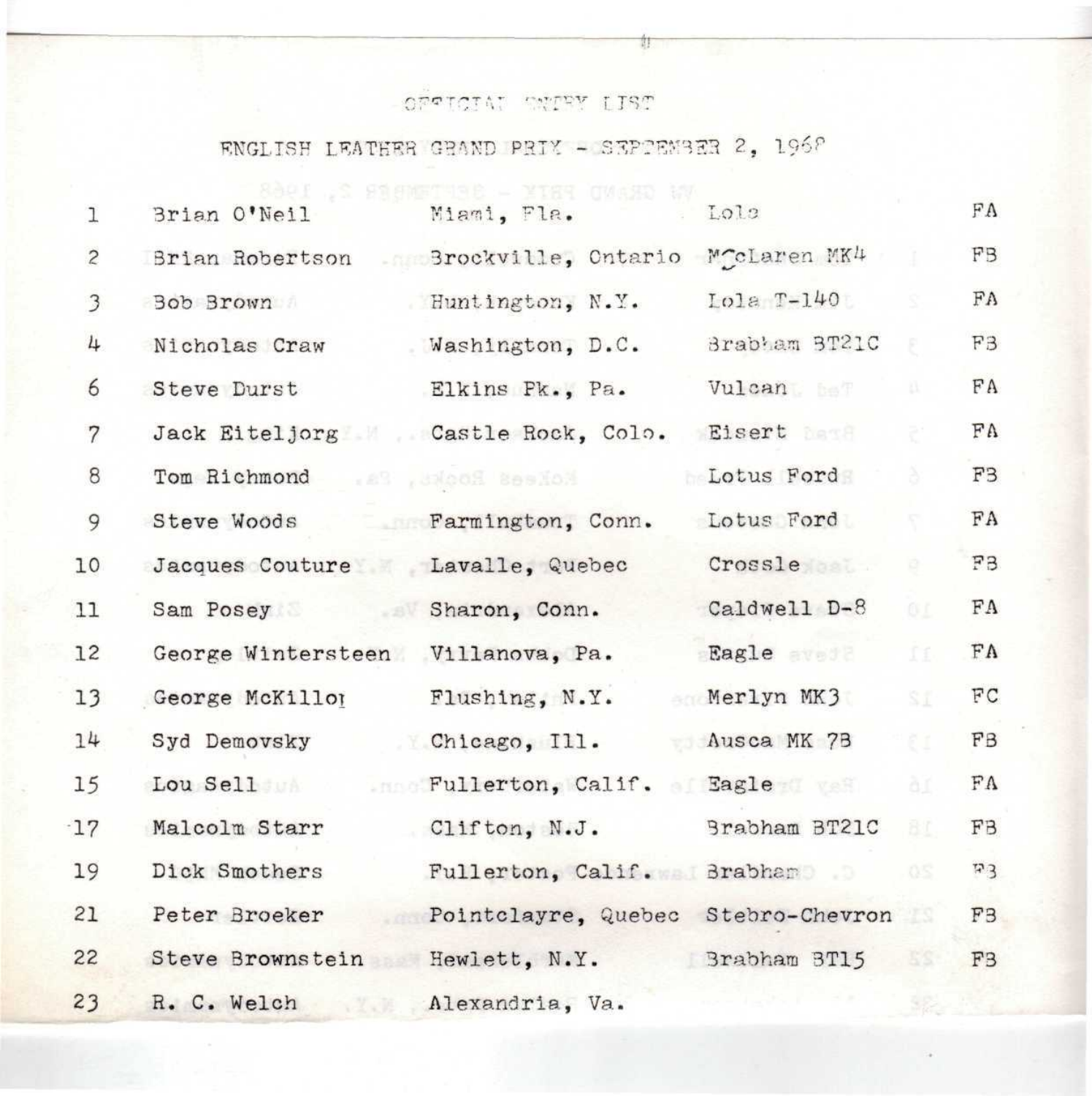## *~* C<sup>1</sup> T •"• T ''. \*" •"" \*•'\*"• r *^-2~\*~* V T ^ '"\*"'

## $RNGLISH$  LEATHER GRAND PRIX - SEPPEMBER 2, 1968

| $\lambda$ |  |  |  |
|-----------|--|--|--|
|           |  |  |  |
|           |  |  |  |
|           |  |  |  |

| $\mathbf 1$    | Brian O'Neil                      | Miami, Fla.                        | Lola          |                                        | FA                       |
|----------------|-----------------------------------|------------------------------------|---------------|----------------------------------------|--------------------------|
| $\overline{c}$ | Brian Robertson                   | Srockville, Ontario McClaren MK4   |               |                                        | FB                       |
| $\mathfrak{Z}$ | Bob Brown                         | Huntington, N.Y.                   | $LO1a T-140$  |                                        | FA                       |
| 4              | Nicholas Craw                     | Washington, D.C.                   | Brabham BT21C | ×                                      | F3                       |
| 6              | Steve Durst                       | Elkins Pk., Pa.                    | Vulcan        | D.                                     | FA                       |
| $\overline{7}$ |                                   | Jack Eiteljorg Castle Rock, Colo.  | Eisert best   | 5                                      | FA                       |
| $\,8\,$        | Tom Richmond and , second section |                                    | Lotus Ford    | ă                                      | F <sub>3</sub>           |
| 9              | Steve Woods Farmington, Conn.     |                                    | Lotus Ford    | F.                                     | ${\rm FA}$               |
| 10             | Jacques Couture Lavalle, Quebec   |                                    | Crossle       | $\begin{array}{c} \square \end{array}$ | FB                       |
| 11             | Sam Posey Sharon, Conn.           |                                    | Caldwell D-8  | OL                                     | FA                       |
| 12             | George Wintersteen Villanova, Pa. |                                    | Eagle avec    | II.                                    | FA                       |
| 13             | George McKillor                   | Flushing, N.Y.                     | Merlyn MK3    | SI                                     | ${\mathbb F}{\mathbb C}$ |
| 14             | Syd Demovsky                      | Chicago, Ill.                      | Ausca MK 7B   | ēI.                                    | FB                       |
| 15             | Lou Sell                          | .nno Fullerton, Calif. of Eagle    |               | ãI.                                    | FA                       |
| 17             | Malcolm Starr                     | Clifton, N.J.                      | Brabham BT21C | BI.                                    | FB                       |
| 19             | Dick Smothers                     | Fullerton, Calif. Brabham          |               | OS                                     | F3                       |
| 21             | Peter Broeker                     | Pointclayre, Quebec Stebro-Chevron |               |                                        | F <sub>3</sub>           |
| 22             | Steve Brownstein Hewlett, N.Y.    |                                    | Brabham BT15  | $55 -$                                 | F <sub>3</sub>           |
| 23             | R. C. Welch                       | Alexandria, Va.                    |               |                                        |                          |